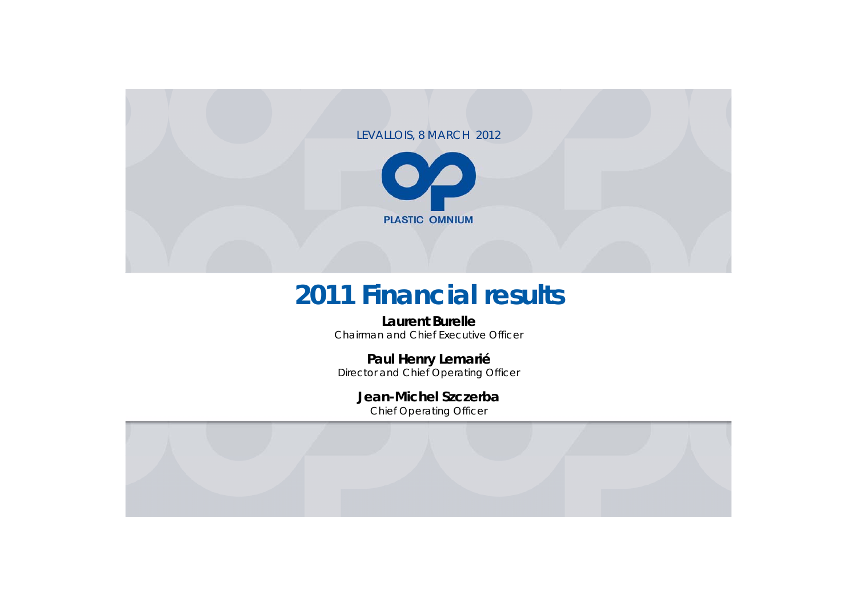#### LEVALLOIS, 8 MARCH 2012



# **2011 Financial results**

#### **Laurent Burelle**

Chairman and Chief Executive Officer

#### **Paul Henry Lemarié**

Director and Chief Operating Officer

#### **Jean-Michel Szczerba**

Chief Operating Officer

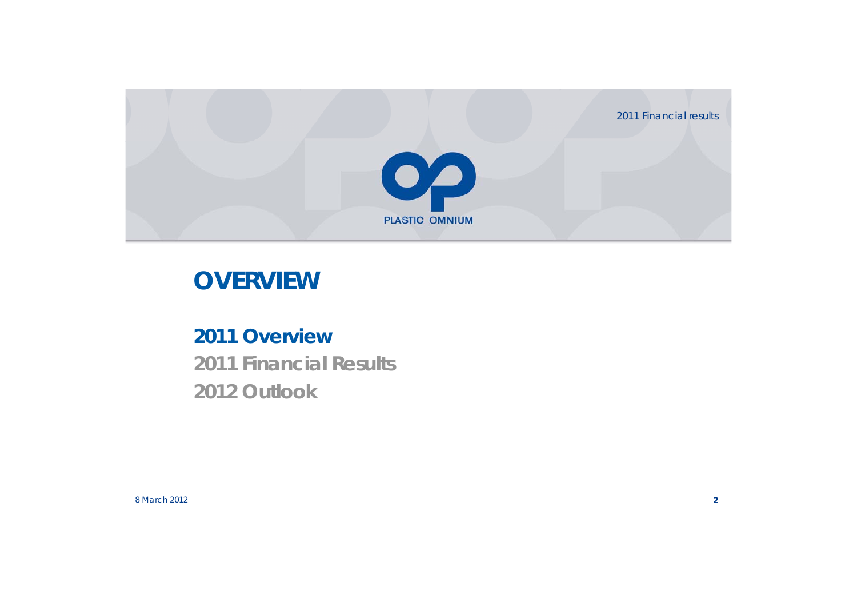2011 Financial results



# **OVERVIEW**

## **2011 Overview 2011 Financial Results 2012 Outlook**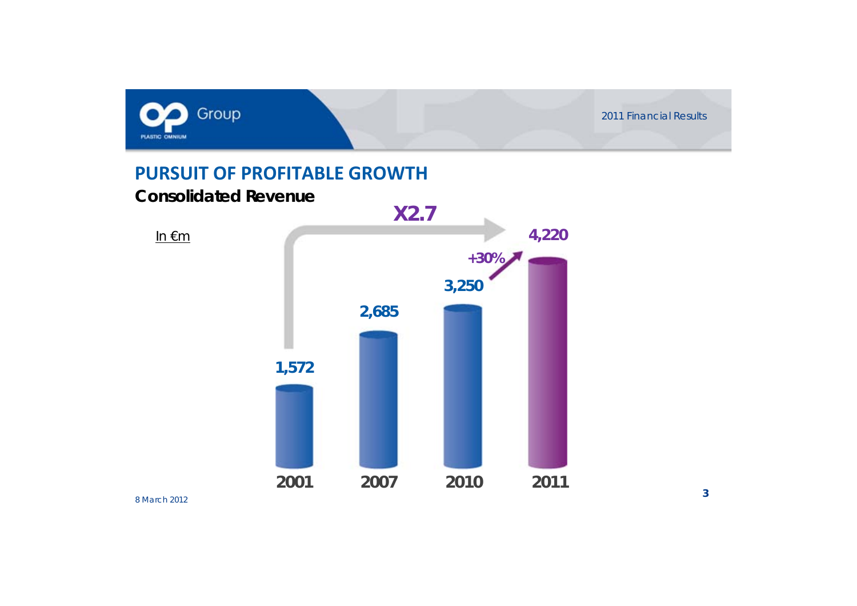

#### **PURSUIT OF PROFITABLE GROWTH**

#### **Consolidated Revenue**



In €m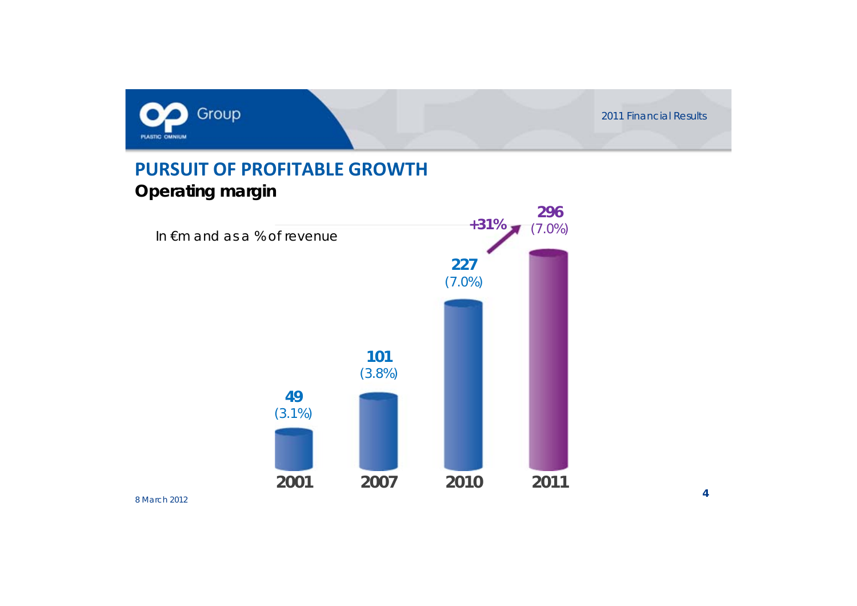

### **PURSUIT OF PROFITABLE GROWTHOperating margin**

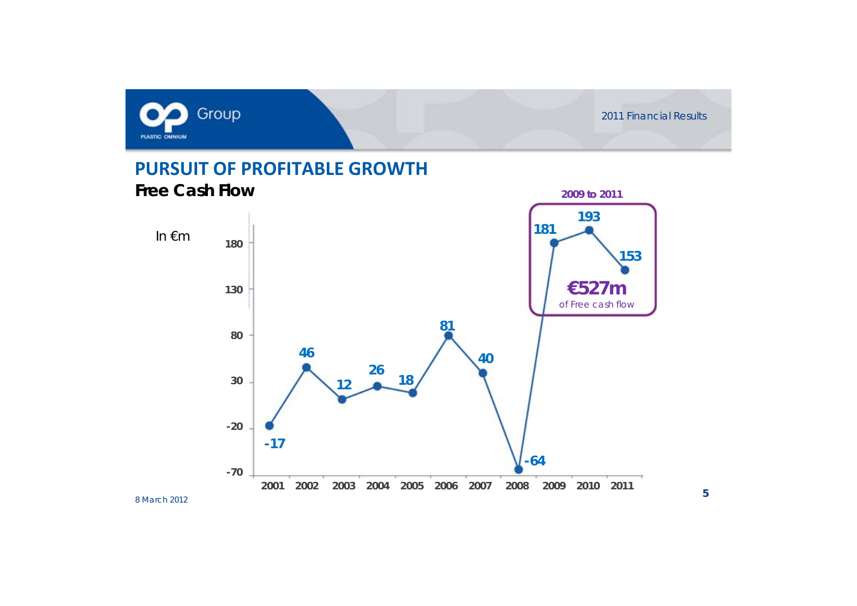

**2009 to 2011**

### **PURSUIT OF PROFITABLE GROWTHFree Cash Flow**

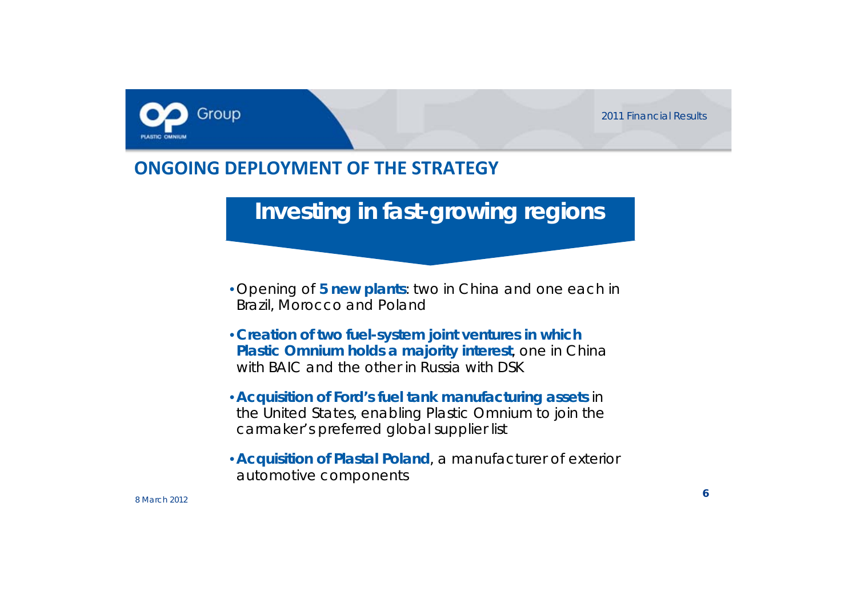

### **ONGOING DEPLOYMENT OF THE STRATEGY**

**Investing in fast-growing regions**

- Opening of **5 new plants**: two in China and one each in Brazil, Morocco and Poland
- **Creation of two fuel-system joint ventures in which Plastic Omnium holds a majority interest**, one in China with BAIC and the other in Russia with DSK
- **Acquisition of Ford's fuel tank manufacturing assets** in the United States, enabling Plastic Omnium to join the carmaker's preferred global supplier list
- **Acquisition of Plastal Poland**, a manufacturer of exterior automotive components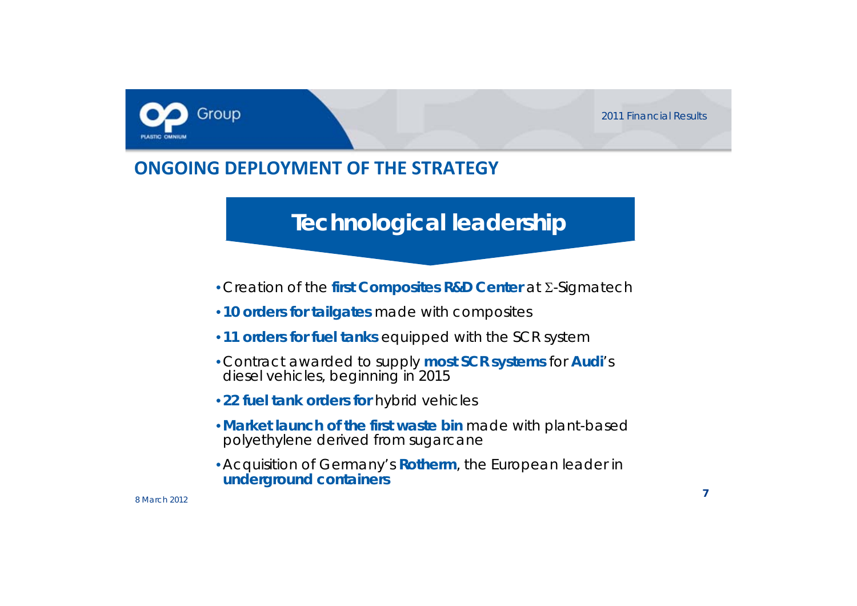

### **ONGOING DEPLOYMENT OF THE STRATEGY**

## **Technological leadership**

- Creation of the **first Composites R&D Center** at Σ-Sigmatech
- **10 orders for tailgates** made with composites
- **11 orders for fuel tanks** equipped with the SCR system
- Contract awarded to supply **most SCR systems** for **Audi**'s diesel vehicles, beginning in 2015
- **22 fuel tank orders for** hybrid vehicles
- **Market launch of the first waste bin** made with plant-based polyethylene derived from sugarcane
- Acquisition of Germany's **Rotherm**, the European leader in **underground containers**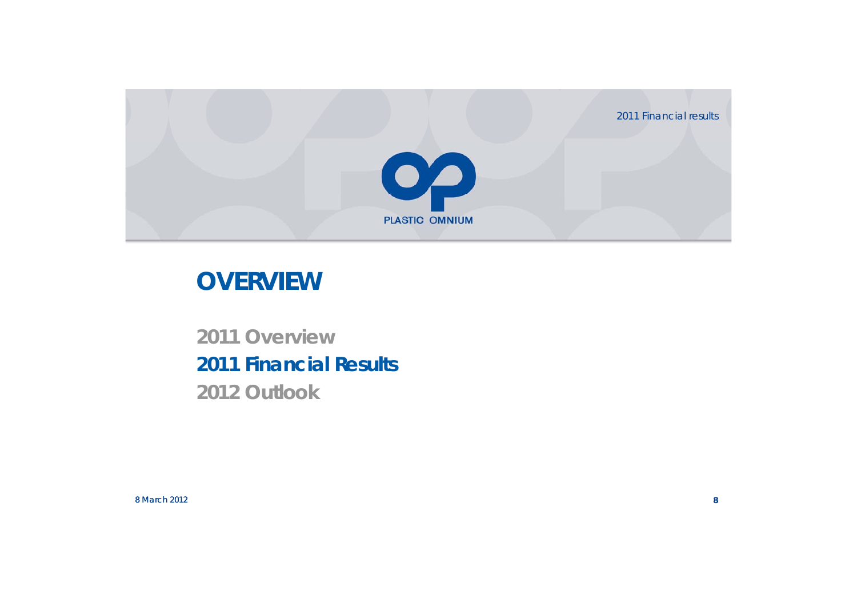2011 Financial results



# **OVERVIEW**

## **2011 Overview 2011 Financial Results 2012 Outlook**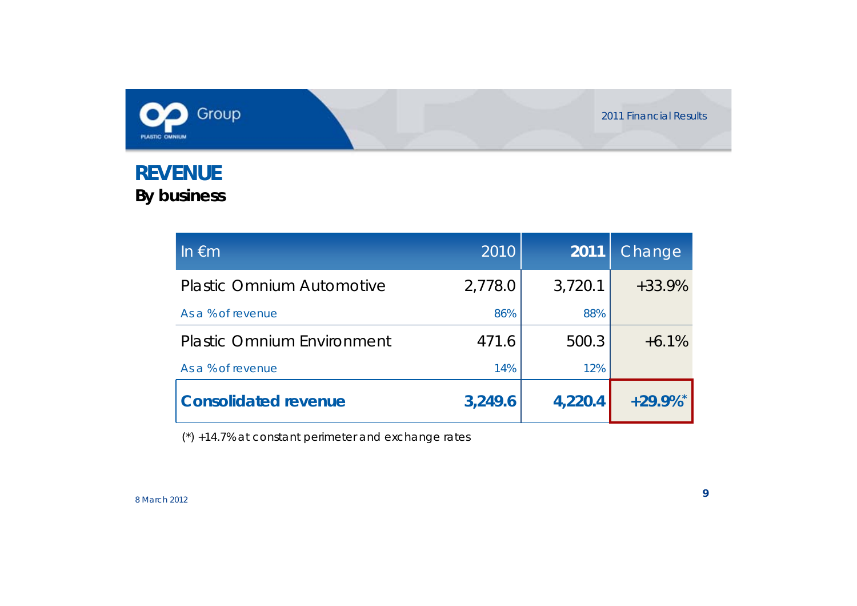

### **REVENUE By business**

| In $\epsilon$ m                   | 2010    | 2011    | Change                 |
|-----------------------------------|---------|---------|------------------------|
| <b>Plastic Omnium Automotive</b>  | 2,778.0 | 3,720.1 | $+33.9%$               |
| As a % of revenue                 | 86%     | 88%     |                        |
| <b>Plastic Omnium Environment</b> | 471.6   | 500.3   | $+6.1%$                |
| As a % of revenue                 | 14%     | 12%     |                        |
| <b>Consolidated revenue</b>       | 3,249.6 | 4,220.4 | $+29.9\%$ <sup>*</sup> |

(\*) +14.7% at constant perimeter and exchange rates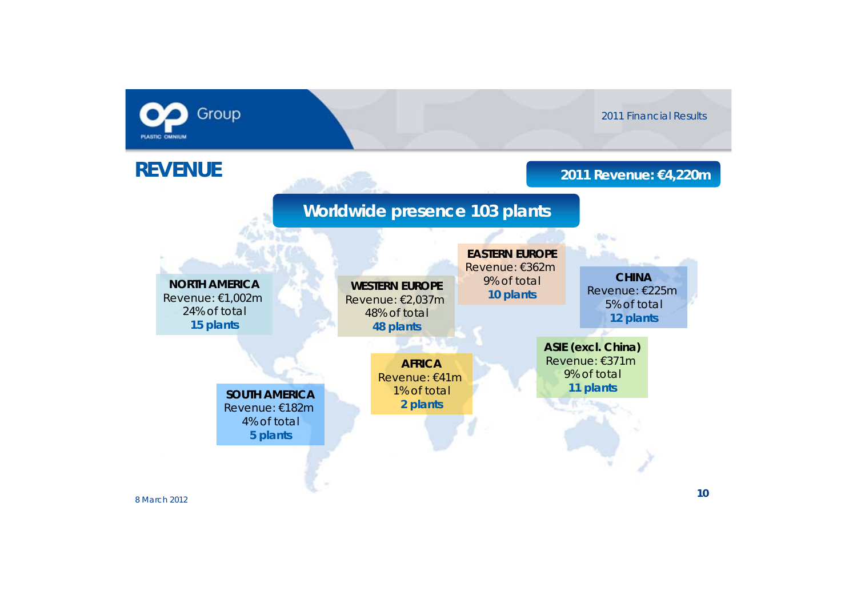

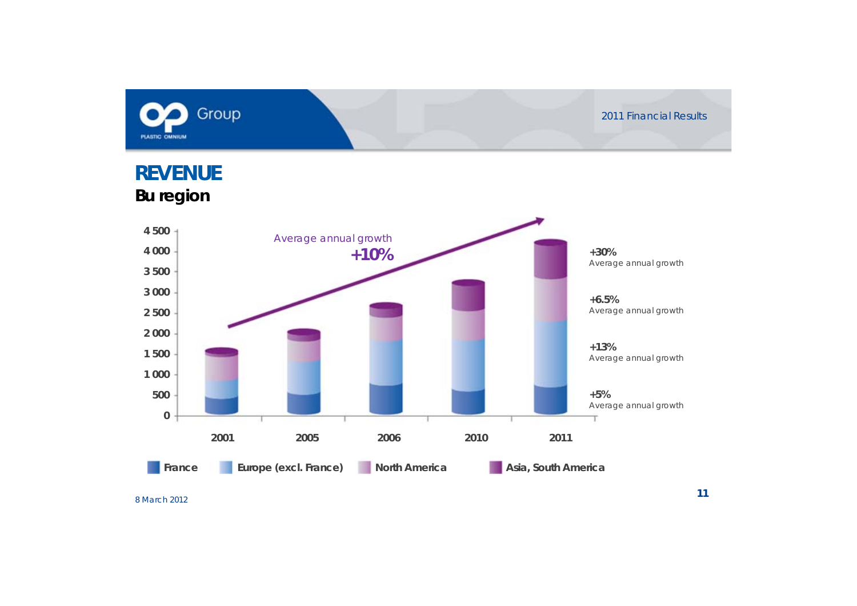![](_page_10_Picture_0.jpeg)

![](_page_10_Figure_2.jpeg)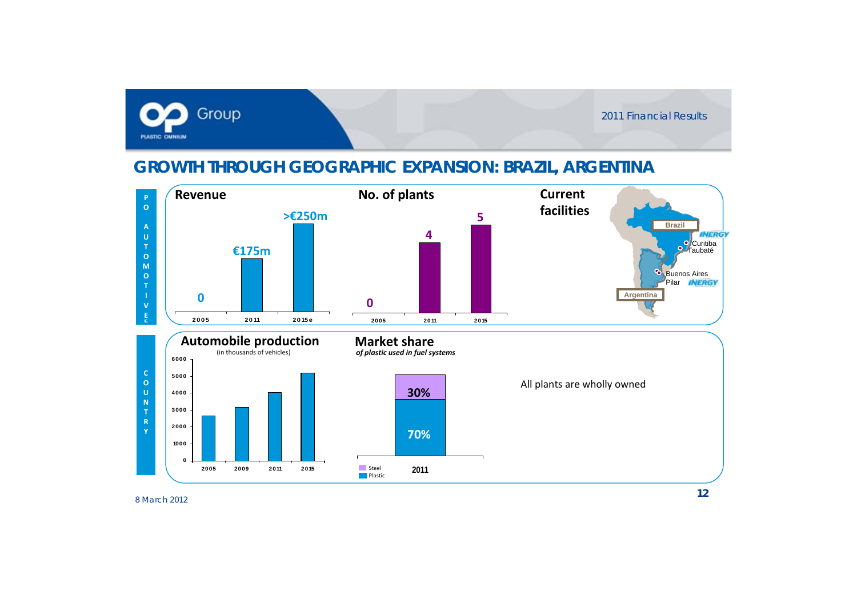![](_page_11_Picture_0.jpeg)

#### **GROWTH THROUGH GEOGRAPHIC EXPANSION: BRAZIL, ARGENTINA**

![](_page_11_Figure_3.jpeg)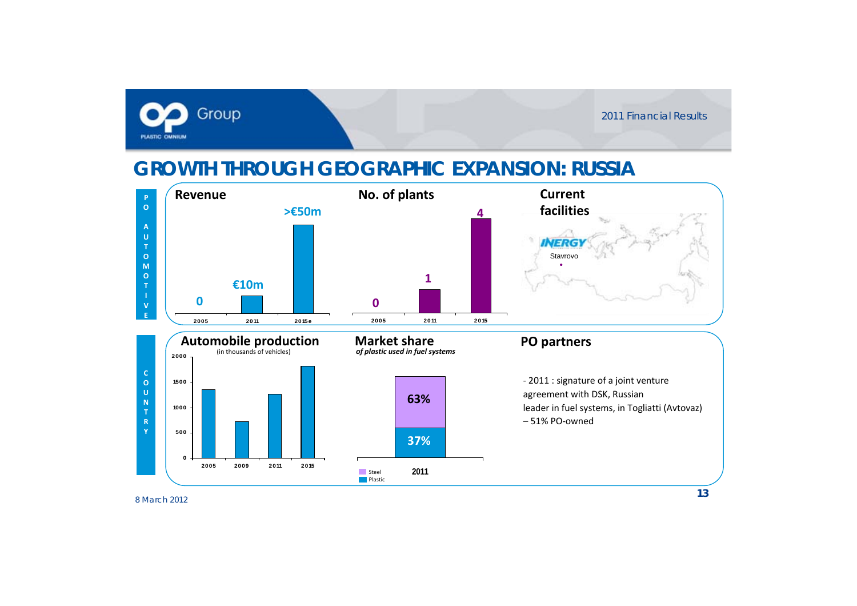![](_page_12_Picture_0.jpeg)

### **GROWTH THROUGH GEOGRAPHIC EXPANSION: RUSSIA**

![](_page_12_Figure_3.jpeg)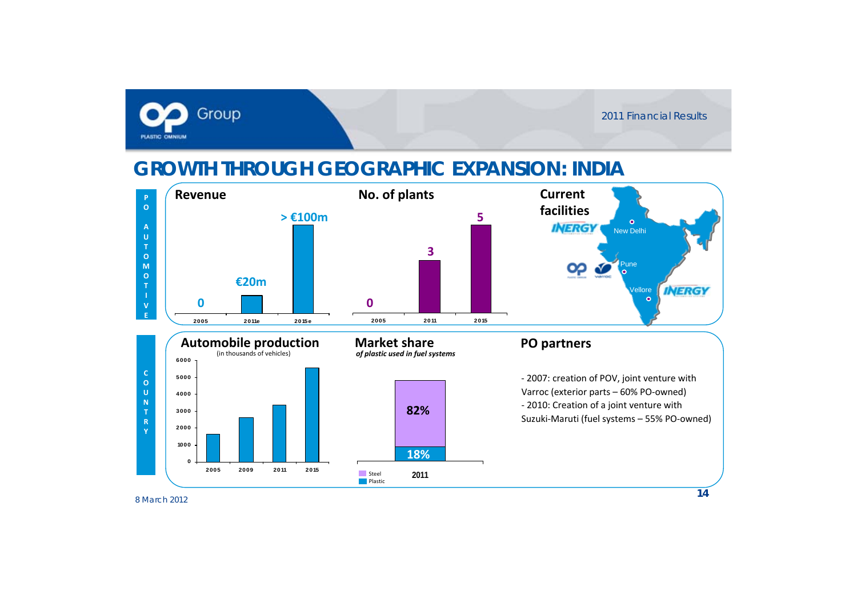![](_page_13_Picture_0.jpeg)

### **GROWTH THROUGH GEOGRAPHIC EXPANSION: INDIA**

SteelPlastic

![](_page_13_Figure_3.jpeg)

**2011**

**0**

**2005 2009 2011 2015**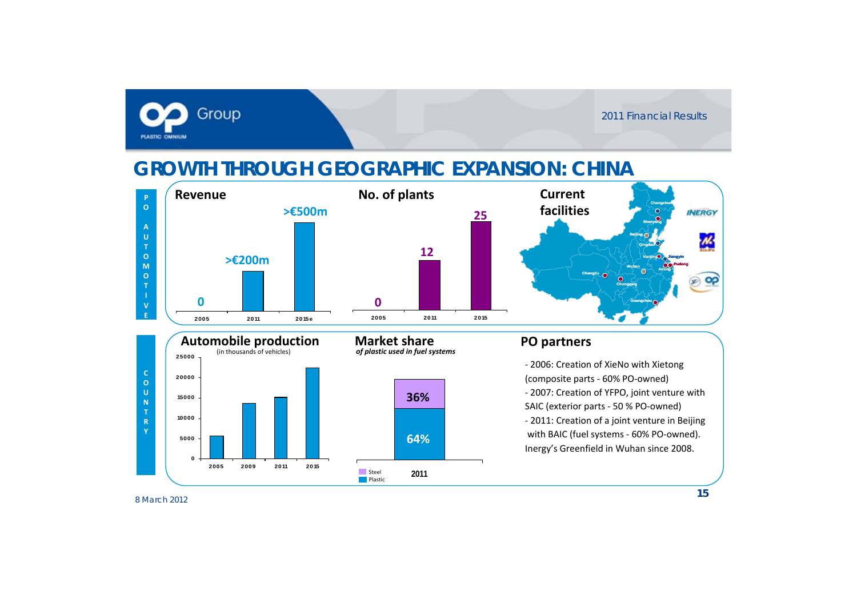![](_page_14_Picture_0.jpeg)

### **GROWTH THROUGH GEOGRAPHIC EXPANSION: CHINA**

![](_page_14_Figure_3.jpeg)

**64%64%**

**36%**

**2011**

![](_page_14_Figure_4.jpeg)

#### **PO partners**

‐ 2006: Creation of XieNo with Xietong (composite parts ‐ 60% PO‐owned) ‐ 2007: Creation of YFPO, joint venture with SAIC (exterior parts ‐ 50 % PO‐owned) ‐ 2011: Creation of <sup>a</sup> joint venture in Beijing with BAIC (fuel systems ‐ 60% PO‐owned). Inergy's Greenfield in Wuhan since 2008.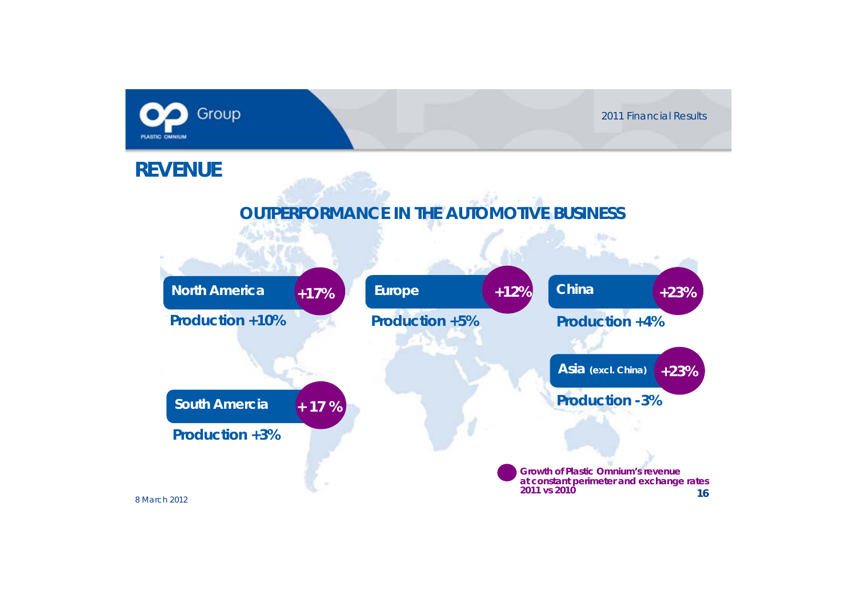![](_page_15_Picture_0.jpeg)

![](_page_15_Figure_2.jpeg)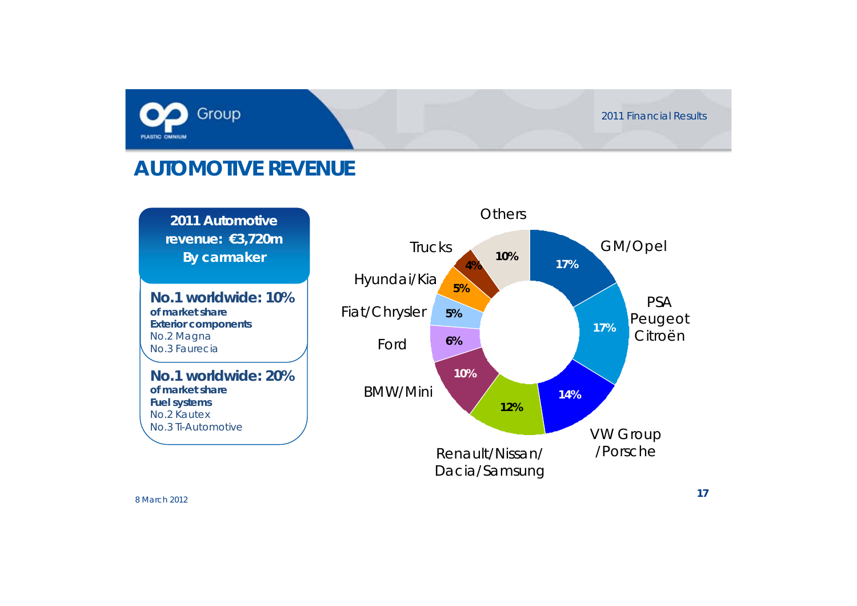![](_page_16_Picture_0.jpeg)

### **AUTOMOTIVE REVENUE**

**2011 Automotive revenue: €3,720m By carmaker**

**% No.1 worldwide: 10% of market shareExterior components** No.2 Magna No.3 Faurecia

**No.1 worldwide: 20% of market shareFuel systems** No.2 KautexNo.3 Ti-Automotive

![](_page_16_Figure_6.jpeg)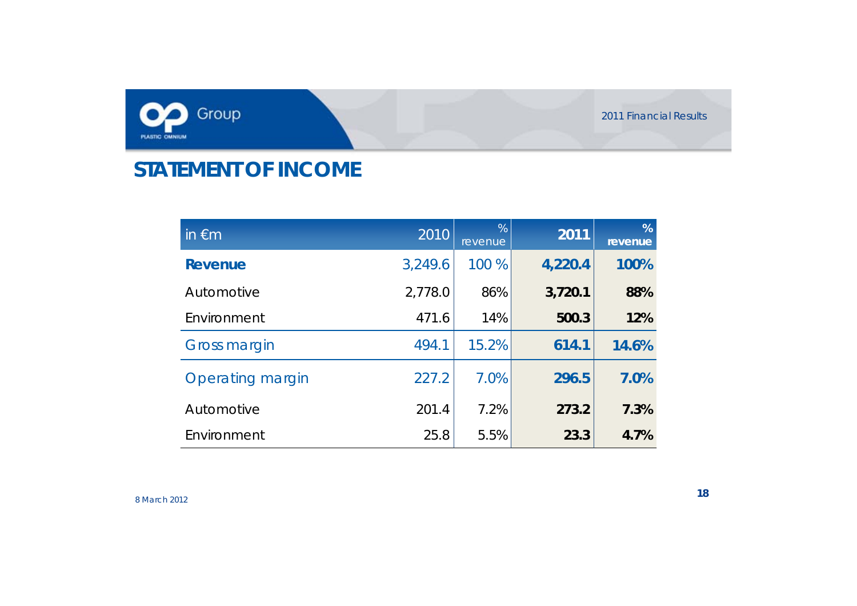![](_page_17_Picture_0.jpeg)

## **STATEMENT OF INCOME**

| in $\epsilon$ m         | 2010    | %<br>revenue | 2011    | %<br>revenue |
|-------------------------|---------|--------------|---------|--------------|
| <b>Revenue</b>          | 3,249.6 | 100 %        | 4,220.4 | 100%         |
| Automotive              | 2,778.0 | 86%          | 3,720.1 | 88%          |
| Environment             | 471.6   | 14%          | 500.3   | 12%          |
| <b>Gross margin</b>     | 494.1   | 15.2%        | 614.1   | 14.6%        |
| <b>Operating margin</b> | 227.2   | 7.0%         | 296.5   | 7.0%         |
| Automotive              | 201.4   | 7.2%         | 273.2   | 7.3%         |
| Environment             | 25.8    | 5.5%         | 23.3    | 4.7%         |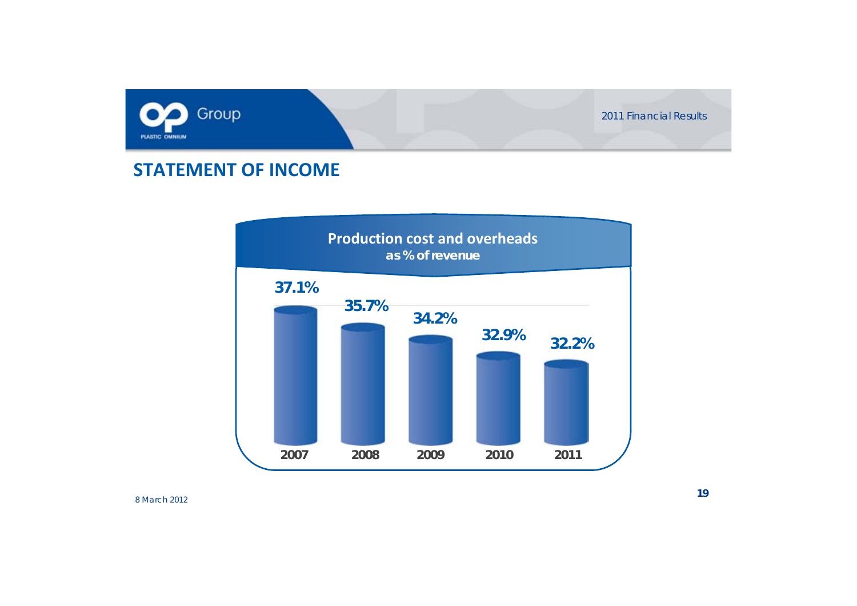![](_page_18_Picture_0.jpeg)

#### **STATEMENT OF INCOME**

![](_page_18_Figure_3.jpeg)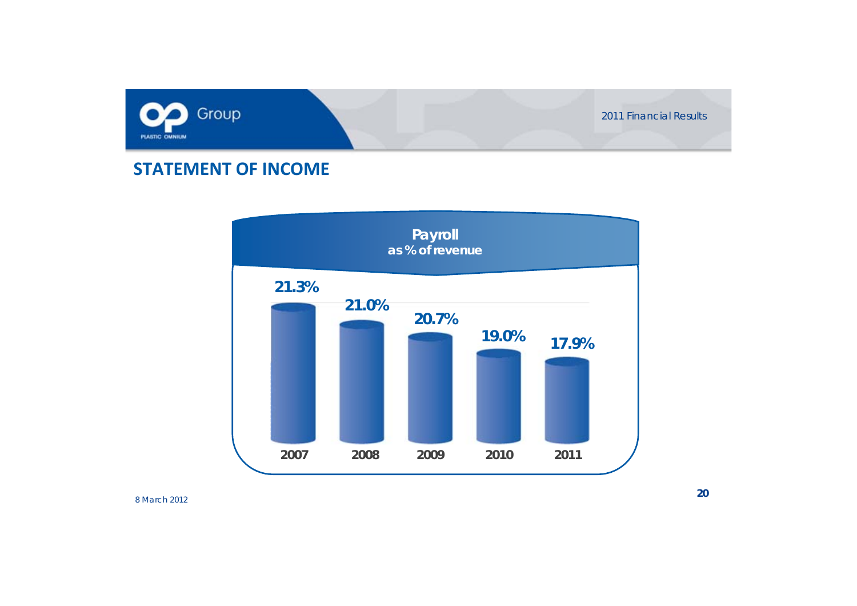![](_page_19_Picture_0.jpeg)

#### **STATEMENT OF INCOME**

![](_page_19_Figure_3.jpeg)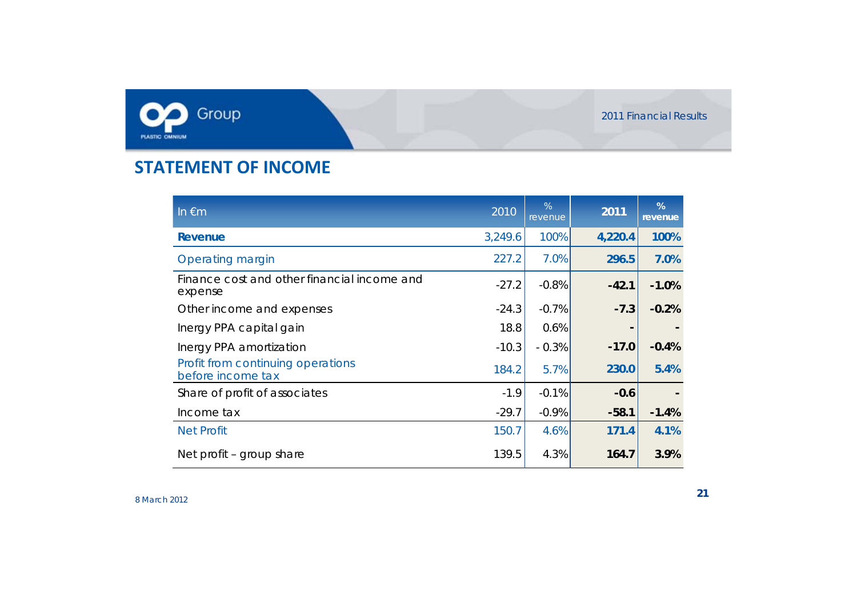![](_page_20_Picture_0.jpeg)

#### **a STATEMENT OF INCOME**

| In $\epsilon$ m                                        | 2010    | %<br>revenue | 2011    | %<br>revenue |
|--------------------------------------------------------|---------|--------------|---------|--------------|
| Revenue                                                | 3,249.6 | 100%         | 4,220.4 | 100%         |
| Operating margin                                       | 227.2   | 7.0%         | 296.5   | 7.0%         |
| Finance cost and other financial income and<br>expense | $-27.2$ | $-0.8%$      | $-42.1$ | $-1.0%$      |
| Other income and expenses                              | $-24.3$ | $-0.7%$      | $-7.3$  | $-0.2%$      |
| Inergy PPA capital gain                                | 18.8    | 0.6%         |         |              |
| Inergy PPA amortization                                | $-10.3$ | $-0.3%$      | $-17.0$ | $-0.4%$      |
| Profit from continuing operations<br>before income tax | 184.2   | 5.7%         | 230.0   | 5.4%         |
| Share of profit of associates                          | $-1.9$  | $-0.1%$      | $-0.6$  |              |
| Income tax                                             | $-29.7$ | $-0.9%$      | $-58.1$ | $-1.4%$      |
| <b>Net Profit</b>                                      | 150.7   | 4.6%         | 171.4   | 4.1%         |
| Net profit – group share                               | 139.5   | 4.3%         | 164.7   | 3.9%         |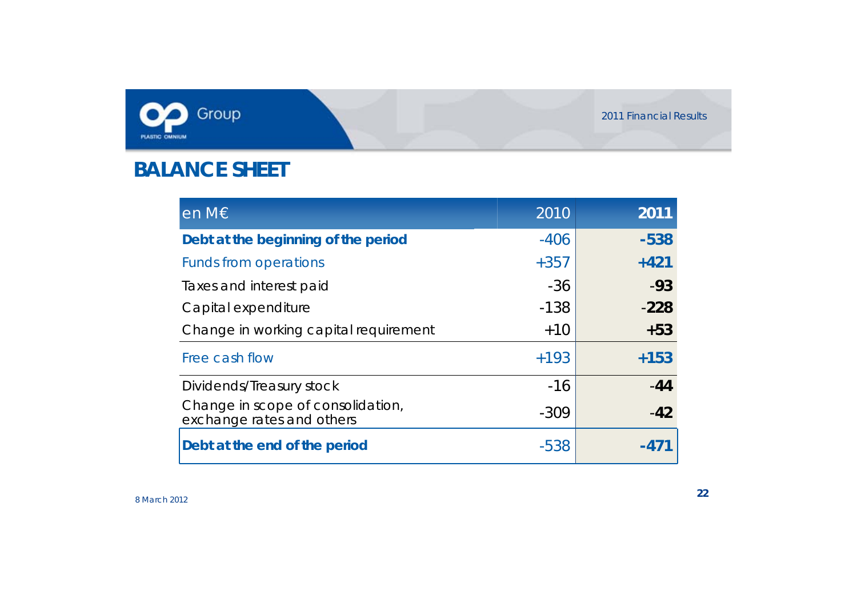![](_page_21_Picture_0.jpeg)

### **BALANCE SHEET**

| en M€                                                          | 2010   | 2011   |
|----------------------------------------------------------------|--------|--------|
| Debt at the beginning of the period                            | $-406$ | $-538$ |
| <b>Funds from operations</b>                                   | $+357$ | $+421$ |
| Taxes and interest paid                                        | $-36$  | $-93$  |
| Capital expenditure                                            | $-138$ | $-228$ |
| Change in working capital requirement                          | $+10$  | $+53$  |
| Free cash flow                                                 | $+193$ | $+153$ |
| Dividends/Treasury stock                                       | $-16$  | $-44$  |
| Change in scope of consolidation,<br>exchange rates and others | $-309$ | $-42$  |
| Debt at the end of the period                                  | $-538$ |        |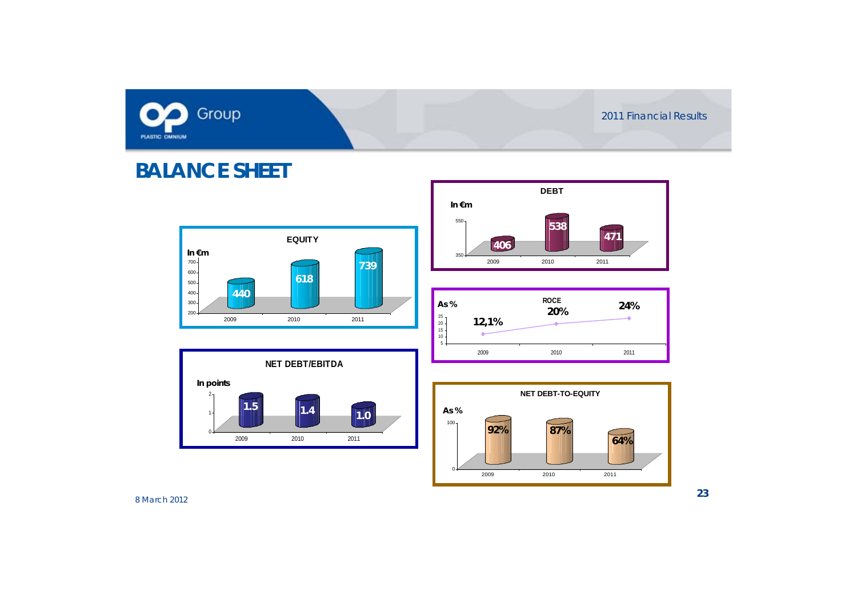![](_page_22_Picture_0.jpeg)

### **BALANCE SHEET**

![](_page_22_Figure_3.jpeg)

![](_page_22_Figure_4.jpeg)

![](_page_22_Figure_5.jpeg)

![](_page_22_Figure_6.jpeg)

![](_page_22_Figure_7.jpeg)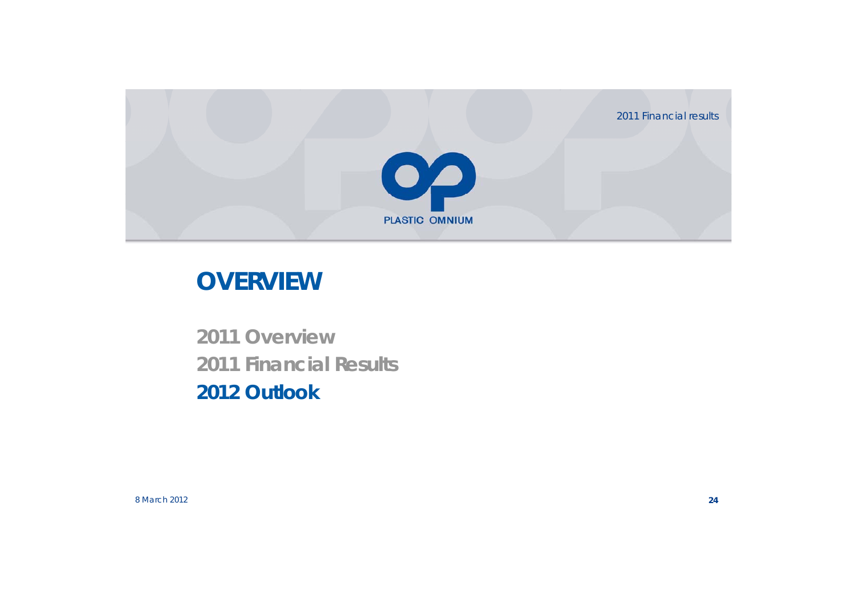2011 Financial results

![](_page_23_Picture_1.jpeg)

# **OVERVIEW**

**2011 Overview2011 Financial Results 2012 Outlook**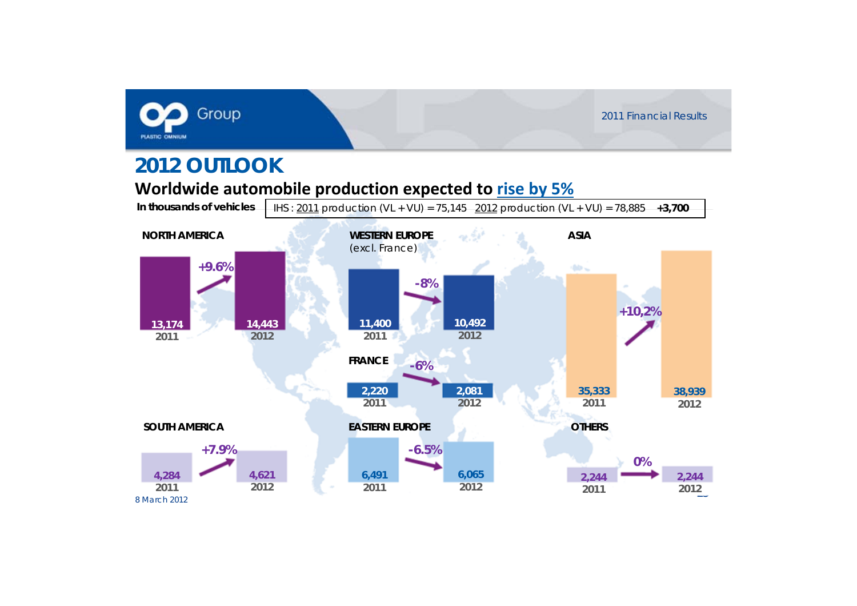![](_page_24_Picture_0.jpeg)

### **2012 OUTLOOK**

#### **Worldwide automobile production expected to rise by 5%**

**In thousands of vehicles**

![](_page_24_Figure_5.jpeg)

IHS : 2011 production (VL + VU) = 75,145 2012 production (VL + VU) = 78,885 **+3,700**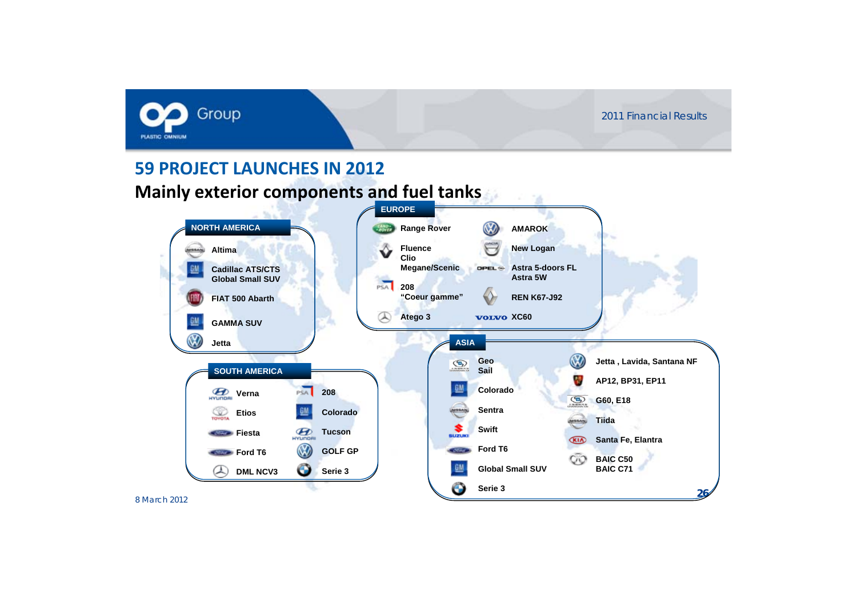![](_page_25_Picture_1.jpeg)

#### **59 PROJECT LAUNCHES IN 2012**

#### **Mainly exterior components and fuel tanks**

![](_page_25_Figure_4.jpeg)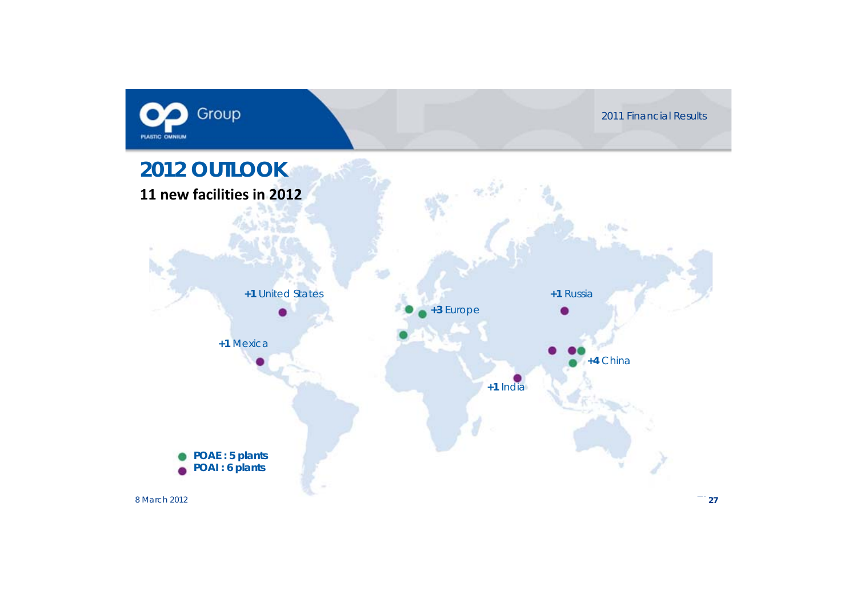![](_page_26_Picture_0.jpeg)

![](_page_26_Figure_2.jpeg)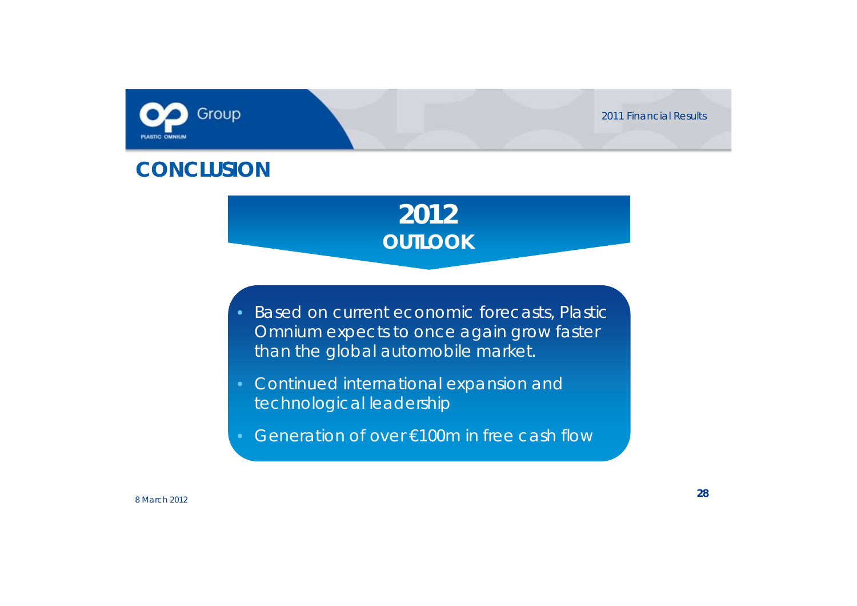![](_page_27_Picture_0.jpeg)

![](_page_27_Picture_1.jpeg)

### **CONCLUSION**

# **2012OUTLOOK**

- Based on current economic forecasts, Plastic Omnium expects to once again grow faster than the global automobile market.
- Continued international expansion and technological leadership
- Generation of over €100m in free cash flow